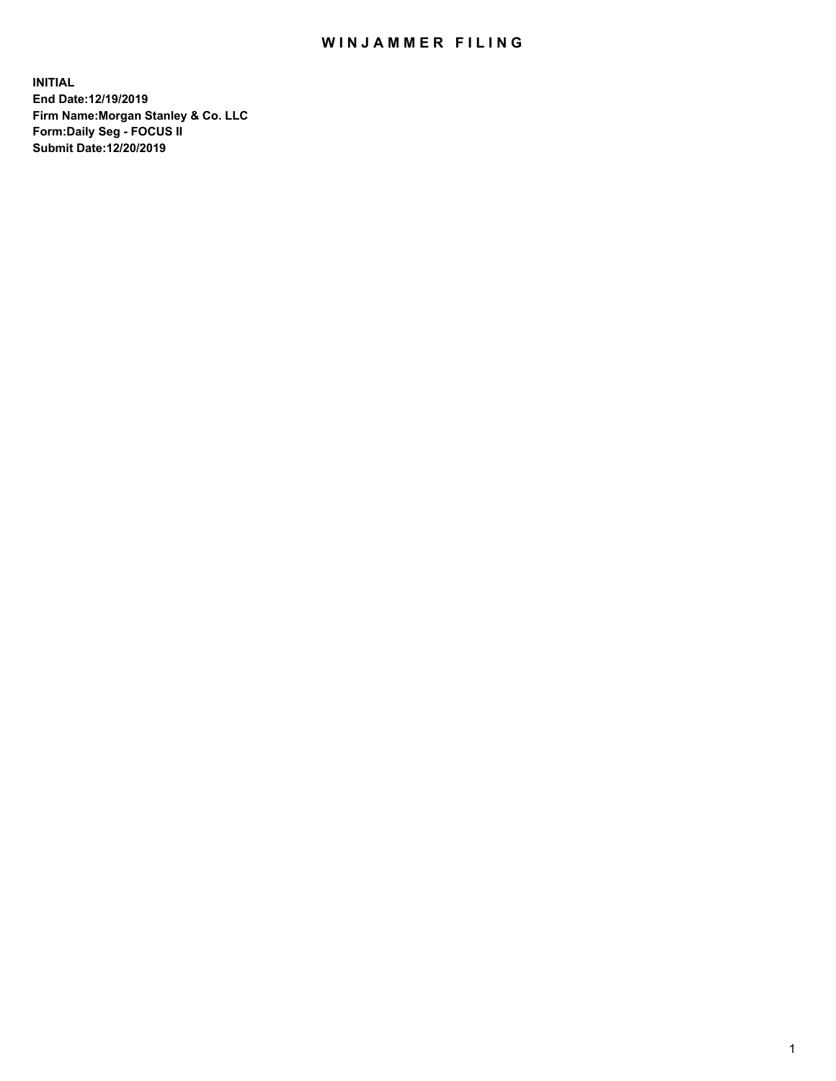## WIN JAMMER FILING

**INITIAL End Date:12/19/2019 Firm Name:Morgan Stanley & Co. LLC Form:Daily Seg - FOCUS II Submit Date:12/20/2019**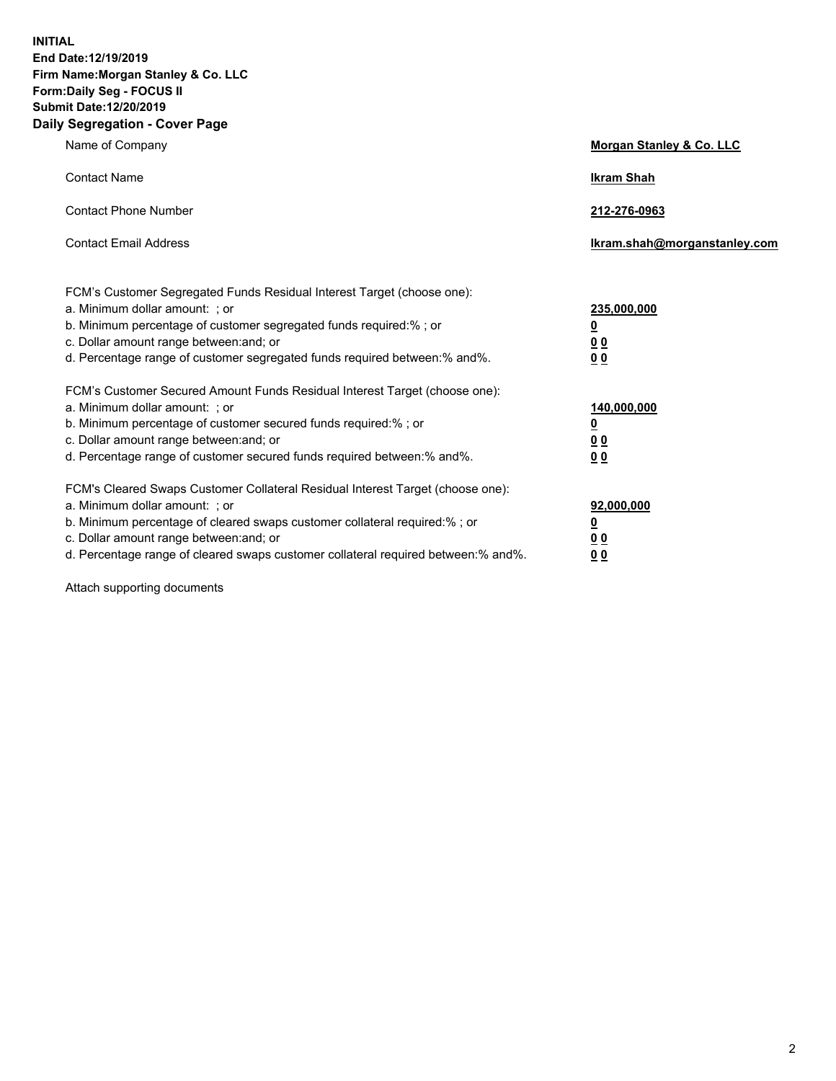**INITIAL End Date:12/19/2019 Firm Name:Morgan Stanley & Co. LLC Form:Daily Seg - FOCUS II Submit Date:12/20/2019 Daily Segregation - Cover Page**

| Name of Company                                                                                                                                                                                                                                                                                                               | Morgan Stanley & Co. LLC                                    |
|-------------------------------------------------------------------------------------------------------------------------------------------------------------------------------------------------------------------------------------------------------------------------------------------------------------------------------|-------------------------------------------------------------|
| <b>Contact Name</b>                                                                                                                                                                                                                                                                                                           | <b>Ikram Shah</b>                                           |
| <b>Contact Phone Number</b>                                                                                                                                                                                                                                                                                                   | 212-276-0963                                                |
| <b>Contact Email Address</b>                                                                                                                                                                                                                                                                                                  | Ikram.shah@morganstanley.com                                |
| FCM's Customer Segregated Funds Residual Interest Target (choose one):<br>a. Minimum dollar amount: ; or<br>b. Minimum percentage of customer segregated funds required:% ; or<br>c. Dollar amount range between: and; or<br>d. Percentage range of customer segregated funds required between:% and%.                        | 235,000,000<br><u>0</u><br>0 Q<br><u>00</u>                 |
| FCM's Customer Secured Amount Funds Residual Interest Target (choose one):<br>a. Minimum dollar amount: ; or<br>b. Minimum percentage of customer secured funds required:%; or<br>c. Dollar amount range between: and; or<br>d. Percentage range of customer secured funds required between:% and%.                           | 140,000,000<br><u>0</u><br>0 <sub>0</sub><br>0 <sup>0</sup> |
| FCM's Cleared Swaps Customer Collateral Residual Interest Target (choose one):<br>a. Minimum dollar amount: ; or<br>b. Minimum percentage of cleared swaps customer collateral required:%; or<br>c. Dollar amount range between: and; or<br>d. Percentage range of cleared swaps customer collateral required between:% and%. | 92,000,000<br><u>0</u><br><u>00</u><br>00                   |

Attach supporting documents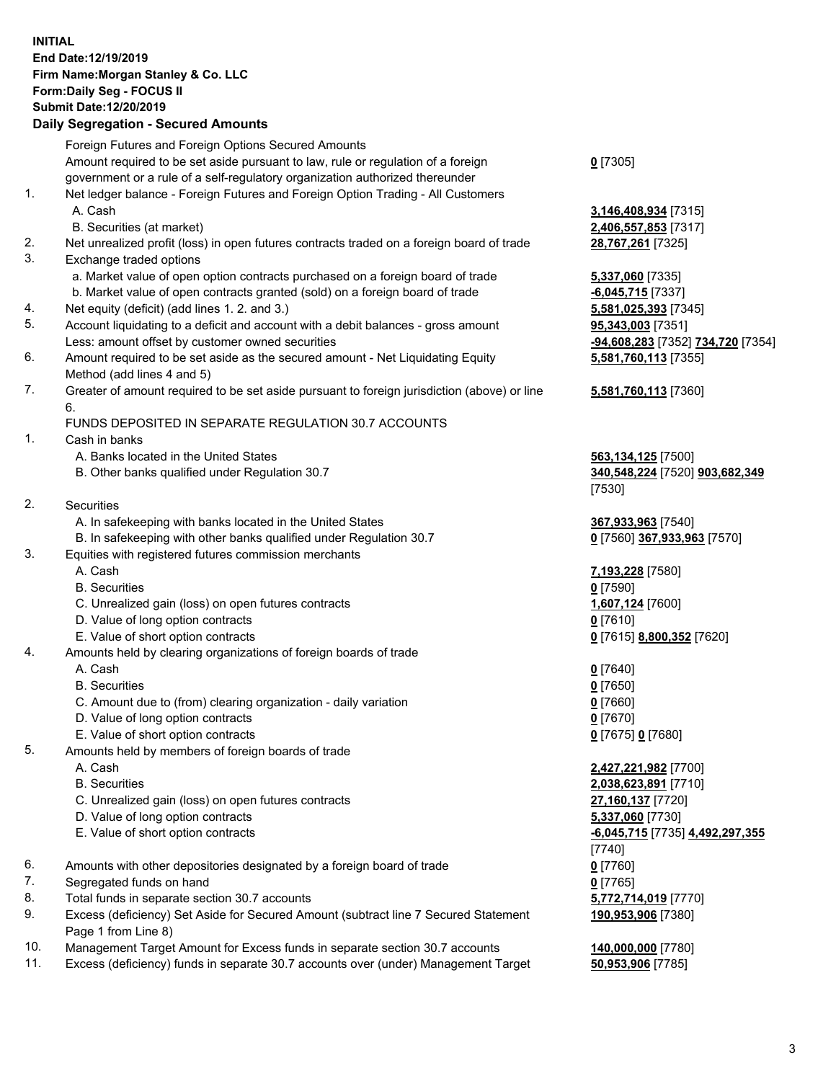## **INITIAL End Date:12/19/2019 Firm Name:Morgan Stanley & Co. LLC Form:Daily Seg - FOCUS II Submit Date:12/20/2019**

## **Daily Segregation - Secured Amounts**

|    | Foreign Futures and Foreign Options Secured Amounts                                         |                                                     |
|----|---------------------------------------------------------------------------------------------|-----------------------------------------------------|
|    | Amount required to be set aside pursuant to law, rule or regulation of a foreign            | $0$ [7305]                                          |
|    | government or a rule of a self-regulatory organization authorized thereunder                |                                                     |
| 1. | Net ledger balance - Foreign Futures and Foreign Option Trading - All Customers             |                                                     |
|    | A. Cash                                                                                     | 3,146,408,934 [7315]                                |
|    | B. Securities (at market)                                                                   | 2,406,557,853 [7317]                                |
| 2. | Net unrealized profit (loss) in open futures contracts traded on a foreign board of trade   | 28,767,261 [7325]                                   |
| 3. | Exchange traded options                                                                     |                                                     |
|    | a. Market value of open option contracts purchased on a foreign board of trade              | 5,337,060 [7335]                                    |
|    | b. Market value of open contracts granted (sold) on a foreign board of trade                | $-6,045,715$ [7337]                                 |
| 4. | Net equity (deficit) (add lines 1.2. and 3.)                                                | 5,581,025,393 [7345]                                |
| 5. | Account liquidating to a deficit and account with a debit balances - gross amount           | 95,343,003 [7351]                                   |
|    | Less: amount offset by customer owned securities                                            | <mark>-94,608,283</mark> [7352] <b>734,720</b> [735 |
| 6. | Amount required to be set aside as the secured amount - Net Liquidating Equity              | 5,581,760,113 [7355]                                |
|    | Method (add lines 4 and 5)                                                                  |                                                     |
| 7. | Greater of amount required to be set aside pursuant to foreign jurisdiction (above) or line | 5,581,760,113 [7360]                                |
|    | 6.                                                                                          |                                                     |
|    | FUNDS DEPOSITED IN SEPARATE REGULATION 30.7 ACCOUNTS                                        |                                                     |
| 1. | Cash in banks                                                                               |                                                     |
|    | A. Banks located in the United States                                                       | 563,134,125 [7500]                                  |
|    | B. Other banks qualified under Regulation 30.7                                              | 340,548,224 [7520] 903,682,349                      |
|    |                                                                                             | [7530]                                              |
| 2. | Securities                                                                                  |                                                     |
|    | A. In safekeeping with banks located in the United States                                   | 367,933,963 [7540]                                  |
|    | B. In safekeeping with other banks qualified under Regulation 30.7                          | 0 [7560] 367,933,963 [7570]                         |
| 3. | Equities with registered futures commission merchants                                       |                                                     |
|    | A. Cash                                                                                     | 7,193,228 [7580]                                    |
|    | <b>B.</b> Securities                                                                        | $0$ [7590]                                          |
|    | C. Unrealized gain (loss) on open futures contracts                                         | 1,607,124 [7600]                                    |
|    | D. Value of long option contracts                                                           | $0$ [7610]                                          |
|    | E. Value of short option contracts                                                          | 0 [7615] 8,800,352 [7620]                           |
| 4. | Amounts held by clearing organizations of foreign boards of trade                           |                                                     |
|    | A. Cash                                                                                     | $0$ [7640]                                          |
|    | <b>B.</b> Securities                                                                        | $0$ [7650]                                          |
|    | C. Amount due to (from) clearing organization - daily variation                             | $0$ [7660]                                          |
|    | D. Value of long option contracts                                                           | $0$ [7670]                                          |
|    | E. Value of short option contracts                                                          | 0 [7675] 0 [7680]                                   |
| 5. | Amounts held by members of foreign boards of trade                                          |                                                     |
|    | A. Cash                                                                                     | 2,427,221,982 [7700]                                |
|    | <b>B.</b> Securities                                                                        | 2,038,623,891 [7710]                                |
|    | C. Unrealized gain (loss) on open futures contracts                                         | 27,160,137 [7720]                                   |
|    | D. Value of long option contracts                                                           | 5,337,060 [7730]                                    |
|    | E. Value of short option contracts                                                          | -6,045,715 [7735] 4,492,297,355                     |
|    |                                                                                             | [7740]                                              |
| 6. | Amounts with other depositories designated by a foreign board of trade                      | $0$ [7760]                                          |
| 7. | Segregated funds on hand                                                                    | $0$ [7765]                                          |
| 8. | Total funds in separate section 30.7 accounts                                               | 5,772,714,019 [7770]                                |
| 9. | Excess (deficiency) Set Aside for Secured Amount (subtract line 7 Secured Statement         | 190,953,906 [7380]                                  |
|    | Page 1 from Line 8)                                                                         |                                                     |
|    |                                                                                             |                                                     |

- 10. Management Target Amount for Excess funds in separate section 30.7 accounts **140,000,000** [7780]
- 11. Excess (deficiency) funds in separate 30.7 accounts over (under) Management Target **50,953,906** [7785]

Less: amount offset by customer owned securities **-94,608,283** [7352] **734,720** [7354]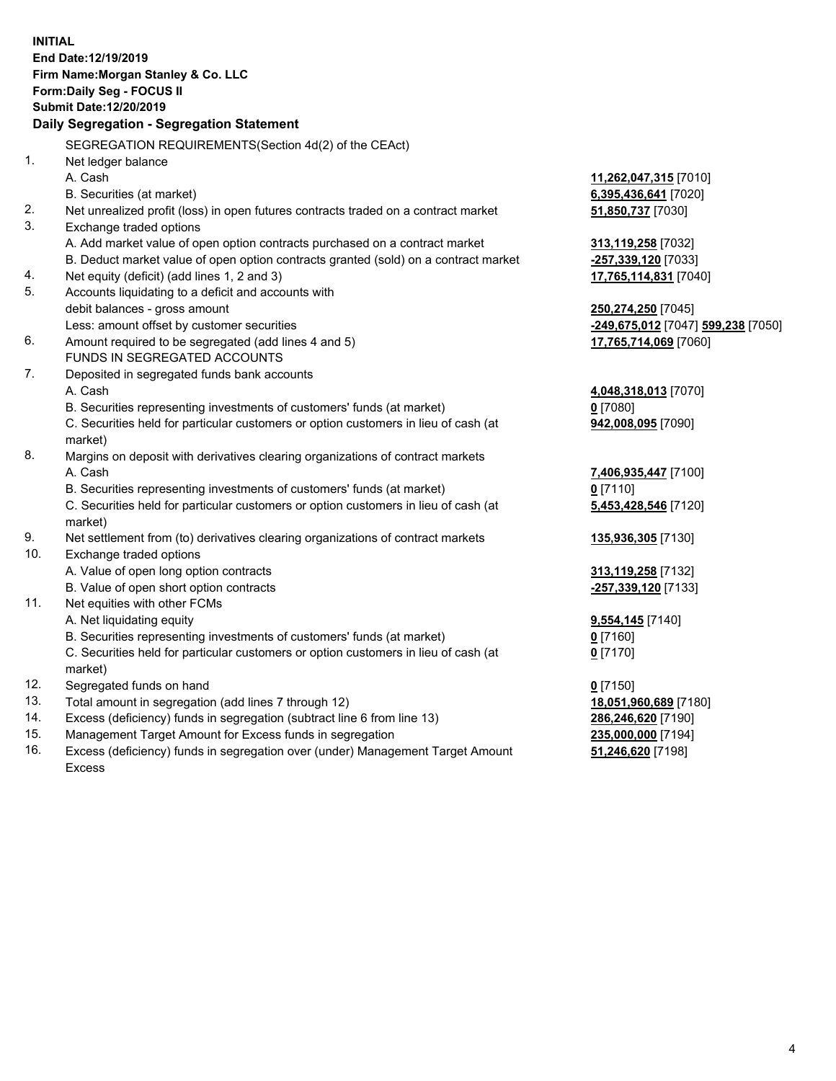|          | <b>INITIAL</b>                                                                                 |                                               |
|----------|------------------------------------------------------------------------------------------------|-----------------------------------------------|
|          | End Date: 12/19/2019                                                                           |                                               |
|          | Firm Name: Morgan Stanley & Co. LLC                                                            |                                               |
|          | Form: Daily Seg - FOCUS II                                                                     |                                               |
|          | Submit Date: 12/20/2019                                                                        |                                               |
|          | Daily Segregation - Segregation Statement                                                      |                                               |
|          | SEGREGATION REQUIREMENTS(Section 4d(2) of the CEAct)                                           |                                               |
| 1.       | Net ledger balance                                                                             |                                               |
|          | A. Cash                                                                                        |                                               |
|          |                                                                                                | 11,262,047,315 [7010]<br>6,395,436,641 [7020] |
| 2.       | B. Securities (at market)                                                                      |                                               |
| 3.       | Net unrealized profit (loss) in open futures contracts traded on a contract market             | 51,850,737 [7030]                             |
|          | Exchange traded options                                                                        |                                               |
|          | A. Add market value of open option contracts purchased on a contract market                    | 313,119,258 [7032]                            |
|          | B. Deduct market value of open option contracts granted (sold) on a contract market            | -257,339,120 [7033]                           |
| 4.<br>5. | Net equity (deficit) (add lines 1, 2 and 3)                                                    | 17,765,114,831 [7040]                         |
|          | Accounts liquidating to a deficit and accounts with                                            |                                               |
|          | debit balances - gross amount                                                                  | 250,274,250 [7045]                            |
|          | Less: amount offset by customer securities                                                     | -249,675,012 [7047] 599,238 [7050]            |
| 6.       | Amount required to be segregated (add lines 4 and 5)<br>FUNDS IN SEGREGATED ACCOUNTS           | 17,765,714,069 [7060]                         |
| 7.       |                                                                                                |                                               |
|          | Deposited in segregated funds bank accounts<br>A. Cash                                         |                                               |
|          |                                                                                                | 4,048,318,013 [7070]                          |
|          | B. Securities representing investments of customers' funds (at market)                         | $0$ [7080]                                    |
|          | C. Securities held for particular customers or option customers in lieu of cash (at            | 942,008,095 [7090]                            |
| 8.       | market)                                                                                        |                                               |
|          | Margins on deposit with derivatives clearing organizations of contract markets                 |                                               |
|          | A. Cash                                                                                        | 7,406,935,447 [7100]                          |
|          | B. Securities representing investments of customers' funds (at market)                         | $0$ [7110]                                    |
|          | C. Securities held for particular customers or option customers in lieu of cash (at<br>market) | 5,453,428,546 [7120]                          |
| 9.       | Net settlement from (to) derivatives clearing organizations of contract markets                | 135,936,305 [7130]                            |
| 10.      | Exchange traded options                                                                        |                                               |
|          | A. Value of open long option contracts                                                         | 313,119,258 [7132]                            |
|          | B. Value of open short option contracts                                                        | -257,339,120 [7133]                           |
| 11.      | Net equities with other FCMs                                                                   |                                               |
|          | A. Net liquidating equity                                                                      | <b>9,554,145</b> [7140]                       |
|          | B. Securities representing investments of customers' funds (at market)                         | 0 [7160]                                      |
|          | C. Securities held for particular customers or option customers in lieu of cash (at            | $0$ [7170]                                    |
|          | market)                                                                                        |                                               |
| 12.      | Segregated funds on hand                                                                       | $0$ [7150]                                    |
| 13.      | Total amount in segregation (add lines 7 through 12)                                           | 18,051,960,689 [7180]                         |
| 14.      | Excess (deficiency) funds in segregation (subtract line 6 from line 13)                        | 286,246,620 [7190]                            |
| 15.      | Management Target Amount for Excess funds in segregation                                       | 235,000,000 [7194]                            |
| 16.      | Excess (deficiency) funds in segregation over (under) Management Target Amount                 | 51,246,620 [7198]                             |
|          |                                                                                                |                                               |

16. Excess (deficiency) funds in segregation over (under) Management Target Amount Excess